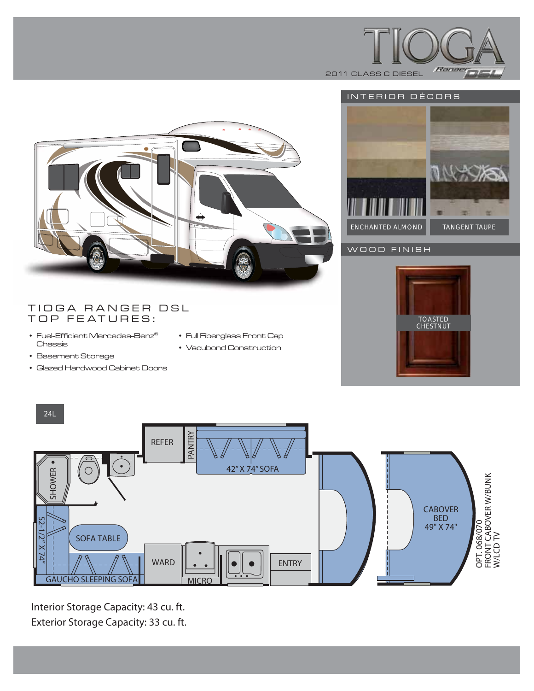

WOOD FINISH





# TIOGA RANGER DSL TOP FEATURES:

- $\bullet\,$  Fuel-Efficient Mercedes-Benz® Chassis
- Full Fiberglass Front Cap
- Vacubond Construction
- Basement Storage
- Glazed Hardwood Cabinet Doors





Interior Storage Capacity: 43 cu. ft.